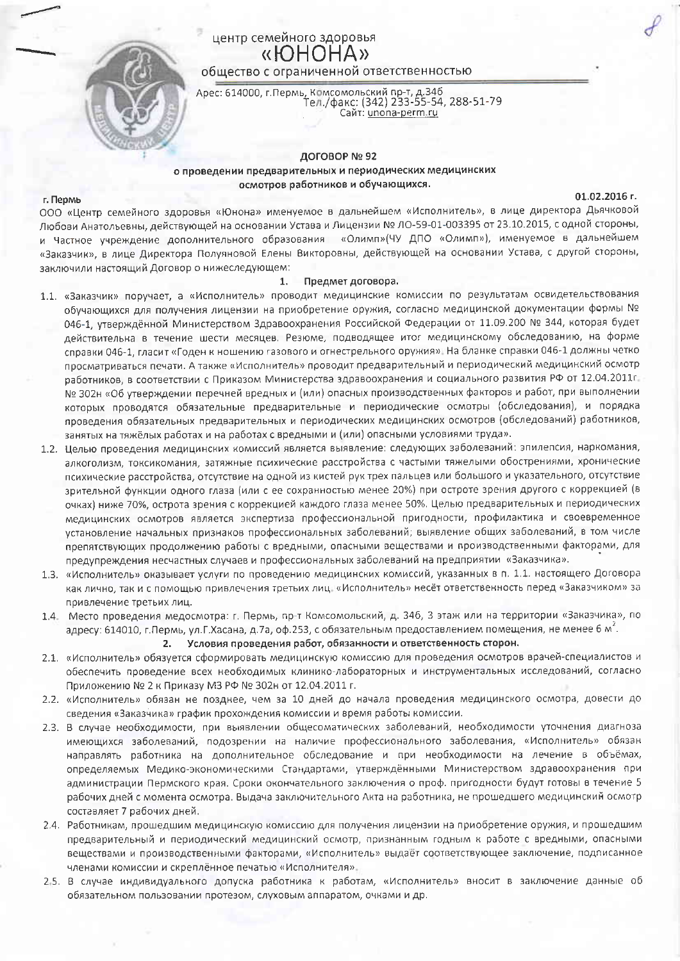# центр семейного здоровья «HOHOHA» общество с ограниченной ответственностью

Арес: 614000, г.Пермь, Комсомольский пр-т, д.346<br>Тел./факс: (342) 233-55-54, 288-51-79 Сайт: unona-perm.ru

ДОГОВОР № 92

## о проведении предварительных и периодических медицинских осмотров работников и обучающихся.

### 01.02.2016 r.

г. Пермь ООО «Центр семейного здоровья «Юнона» именуемое в дальнейшем «Исполнитель», в лице директора Дьячковой Любови Анатольевны, действующей на основании Устава и Лицензии № ЛО-59-01-003395 от 23.10.2015, с одной стороны, и Частное учреждение дополнительного образования «Олимп»(ЧУ ДПО «Олимп»), именуемое в дальнейшем «Заказчик», в лице Директора Полуяновой Елены Викторовны, действующей на основании Устава, с другой стороны, заключили настоящий Договор о нижеследующем:

#### 1. Предмет договора.

- 1.1. «Заказчик» поручает, а «Исполнитель» проводит медицинские комиссии по результатам освидетельствования обучающихся для получения лицензии на приобретение оружия, согласно медицинской документации формы № 046-1, утверждённой Министерством Здравоохранения Российской Федерации от 11.09.200 № 344, которая будет действительна в течение шести месяцев. Резюме, подводящее итог медицинскому обследованию, на форме справки 046-1, гласит «Годен к ношению газового и огнестрельного оружия». На бланке справки 046-1 должны четко просматриваться печати. А также «Исполнитель» проводит предварительный и периодический медицинский осмотр работников, в соответствии с Приказом Министерства здравоохранения и социального развития РФ от 12.04.2011г. № 302н «Об утверждении перечней вредных и (или) опасных производственных факторов и работ, при выполнении которых проводятся обязательные предварительные и периодические осмотры (обследования), и порядка проведения обязательных предварительных и периодических медицинских осмотров (обследований) работников, занятых на тяжёлых работах и на работах с вредными и (или) опасными условиями труда».
- 1.2. Целью проведения медицинских комиссий является выявление: следующих заболеваний: эпилепсия, наркомания, алкоголизм, токсикомания, затяжные психические расстройства с частыми тяжелыми обострениями, хронические психические расстройства, отсутствие на одной из кистей рук трех пальцев или большого и указательного, отсутствие зрительной функции одного глаза (или с ее сохранностью менее 20%) при остроте зрения другого с коррекцией (в очках) ниже 70%, острота зрения с коррекцией каждого глаза менее 50%. Целью предварительных и периодических медицинских осмотров является экспертиза профессиональной пригодности, профилактика и своевременное установление начальных признаков профессиональных заболеваний; выявление общих заболеваний, в том числе препятствующих продолжению работы с вредными, опасными веществами и производственными факторами, для предупреждения несчастных случаев и профессиональных заболеваний на предприятии «Заказчика».
- 1.3. «Исполнитель» оказывает услуги по проведению медицинских комиссий, указанных в п. 1.1. настоящего Договора как лично, так и с помощью привлечения третьих лиц. «Исполнитель» несёт ответственность перед «Заказчиком» за привлечение третьих лиц.
- 1.4. Место проведения медосмотра: г. Пермь, пр-т Комсомольский, д. 346, 3 этаж или на территории «Заказчика», по адресу: 614010, г.Пермь, ул.Г.Хасана, д.7а, оф.253, с обязательным предоставлением помещения, не менее 6 м<sup>2</sup>.

Условия проведения работ, обязанности и ответственность сторон.  $2.$ 

- 2.1. «Исполнитель» обязуется сформировать медицинскую комиссию для проведения осмотров врачей-специалистов и обеспечить проведение всех необходимых клинико-лабораторных и инструментальных исследований, согласно Приложению № 2 к Приказу МЗ РФ № 302н от 12.04.2011 г.
- 2.2. «Исполнитель» обязан не позднее, чем за 10 дней до начала проведения медицинского осмотра, довести до сведения «Заказчика» график прохождения комиссии и время работы комиссии.
- 2.3. В случае необходимости, при выявлении общесоматических заболеваний, необходимости уточнения диагноза имеющихся заболеваний, подозрении на наличие профессионального заболевания, «Исполнитель» обязан направлять работника на дополнительное обследование и при необходимости на лечение в объёмах, определяемых Медико-экономическими Стандартами, утверждёнными Министерством здравоохранения при администрации Пермского края. Сроки окончательного заключения о проф. пригодности будут готовы в течение 5 рабочих дней с момента осмотра. Выдача заключительного Акта на работника, не прошедшего медицинский осмотр составляет 7 рабочих дней.
- 2.4. Работникам, прошедшим медицинскую комиссию для получения лицензии на приобретение оружия, и прошедшим предварительный и периодический медицинский осмотр, признанным годным к работе с вредными, опасными веществами и производственными факторами, «Исполнитель» выдаёт соответствующее заключение, подписанное членами комиссии и скреплённое печатью «Исполнителя».
- 2.5. В случае индивидуального допуска работника к работам, «Исполнитель» вносит в заключение данные об обязательном пользовании протезом, слуховым аппаратом, очками и др.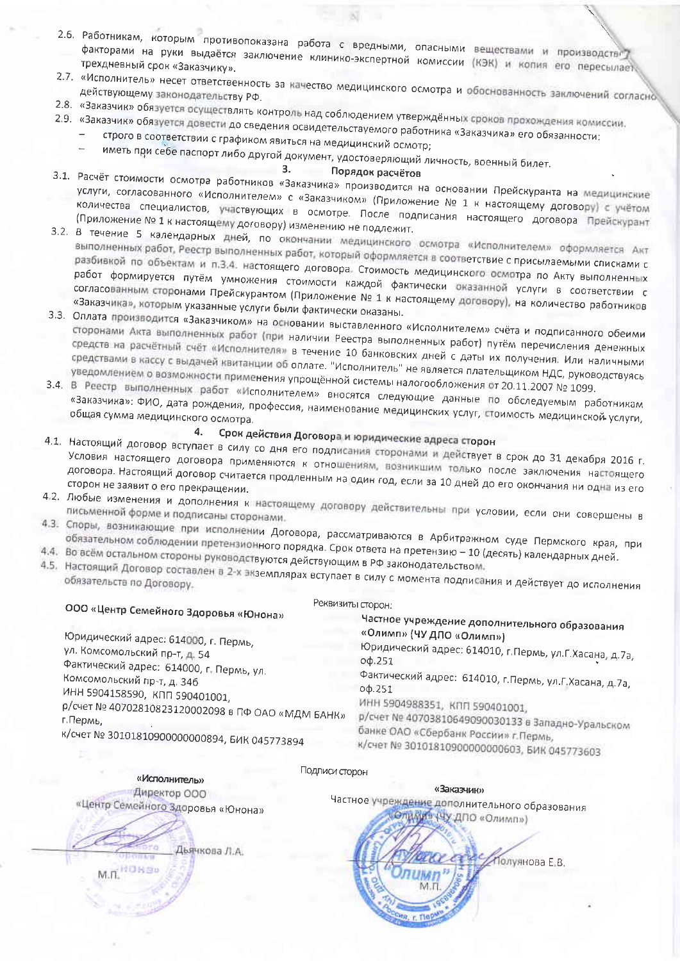- 2.6. Работникам, которым противопоказана работа с вредными, опасными веществами и производство факторами на руки выдаётся заключение клинико-экспертной комиссии (КЭК) и копия его пересылает
- 2.7. «Исполнитель» несет ответственность за качество медицинского осмотра и обоснованность заключений согласно
- 
- 2.8. «Заказчик» обязуется осуществлять контроль над соблюдением утверждённых сроков прохождения комиссии. 2.9. «Заказчик» обязуется довести до сведения освидетельствуемого работника «Заказчика» его обязанности:
	- строго в соответствии с графиком явиться на медицинский осмотр;
		-

иметь при себе паспорт либо другой документ, удостоверяющий личность, военный билет.  $3.$ 

# Порядок расчётов

- 3.1. Расчёт стоимости осмотра работников «Заказчика» производится на основании Прейскуранта на медицинские услуги, согласованного «Исполнителем» с «Заказчиком» (Приложение № 1 к настоящему договору) с учётом количества специалистов, участвующих в осмотре. После подписания настоящего договора Прейскурант (Приложение № 1 к настоящему договору) изменению не подлежит.
- 3.2. В течение 5 календарных дней, по окончании медицинского осмотра «Исполнителем» оформляется Акт выполненных работ, Реестр выполненных работ, который оформляется в соответствие с присылаемыми списками с разбивкой по объектам и п.3.4. настоящего договора. Стоимость медицинского осмотра по Акту выполненных работ формируется путём умножения стоимости каждой фактически оказанной услуги в соответствии с согласованным сторонами Прейскурантом (Приложение № 1 к настоящему договору), на количество работников «Заказчика», которым указанные услуги были фактически оказаны.
- 3.3. Оплата производится «Заказчиком» на основании выставленного «Исполнителем» счёта и подписанного обеими сторонами Акта выполненных работ (при наличии Реестра выполненных работ) путём перечисления денежных средств на расчётный счёт «Исполнителя» в течение 10 банковских дней с даты их получения. Или наличными средствами в кассу с выдачей квитанции об оплате. "Исполнитель" не является плательщиком НДС, руководствуясь
- уведомлением о возможности применения упрощённой системы налогообложения от 20.11.2007 № 1099. 3.4. В Реестр выполненных работ «Исполнителем» вносятся следующие данные по обследуемым работникам «Заказчика»: ФИО, дата рождения, профессия, наименование медицинских услуг, стоимость медицинской услуги,

#### Срок действия Договора и юридические адреса сторон 4.

- 4.1. Настоящий договор вступает в силу со дня его подлисания сторонами и действует в срок до 31 декабря 2016 г. Условия настоящего договора применяются к отношениям, возникшим только после заключения настоящего договора. Настоящий договор считается продленным на один год, если за 10 дней до его окончания ни одна из его
- 4.2. Любые изменения и дополнения к настоящему договору действительны при условии, если они совершены в письменной форме и подписаны сторонами.
- 4.3. Споры, возникающие при исполнении Договора, рассматриваются в Арбитражном суде Пермского края, при
- обязательном соблюдении претензионного порядка. Срок ответа на претензию 10 (десять) календарных дней.
- 4.4. Во всём остальном стороны руководствуются действующим в РФ законодательством.
- 4.5. Настоящий Договор составлен в 2-х экземплярах вступает в силу с момента подписания и действует до исполнения

Реквизиты сторон:

# ООО «Центр Семейного Здоровья «Юнона»

Юридический адрес: 614000, г. Пермь, ул. Комсомольский пр-т, д. 54 Фактический адрес: 614000, г. Пермь, ул. Комсомольский пр-т, д. 346 ИНН 5904158590, КПП 590401001, р/счет № 40702810823120002098 в ПФ ОАО «МДМ БАНК» г. Пермь. к/счет № 30101810900000000894, БИК 045773894

Частное учреждение дополнительного образования «Олимп» (ЧУ ДПО «Олимп») Юридический адрес: 614010, г.Пермь, ул.Г.Хасана, д.7а, оф.251 Фактический адрес: 614010, г. Пермь, ул. Г. Хасана, д. 7а,  $0<sub>Φ</sub>$ .251 ИНН 5904988351, КПП 590401001. р/счет № 40703810649090030133 в Западно-Уральском банке ОАО «Сбербанк России» г. Пермь, к/счет № 30101810900000000603, БИК 045773603

Подлиси сторон

«Исполнитель» Директор ООО

«Центр Семейного Здоровья «Юнона»

Дъячкова Л.А.

ОЛИМИ» (ЧУ ДПО «Олимп») Полуянова Е.В.

«Заказчик»

Частное учреждение дополнительного образования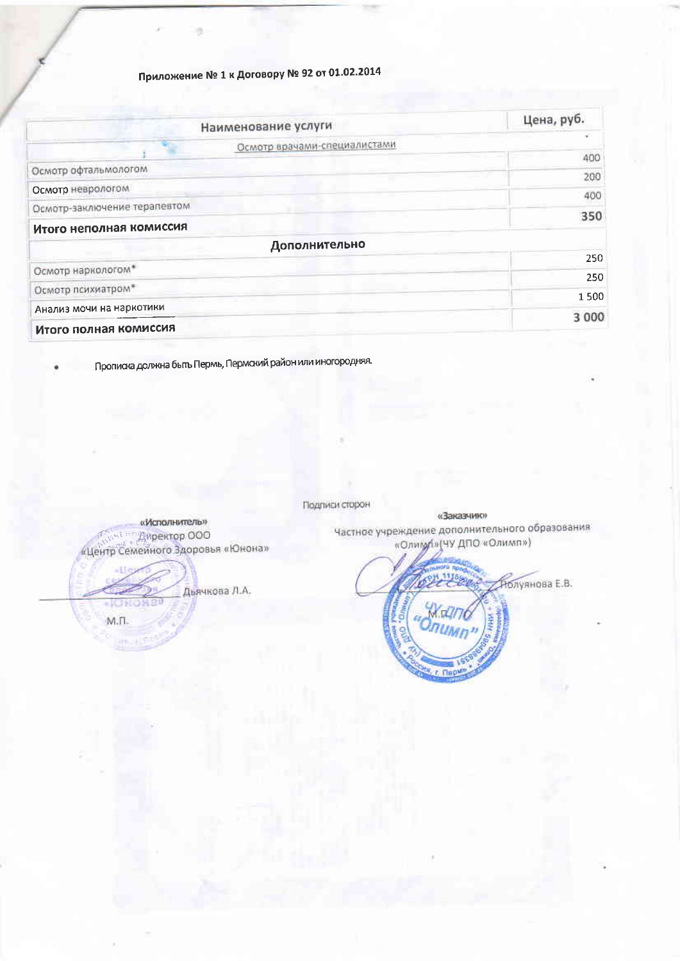# Приложение № 1 к Договору № 92 от 01.02.2014

n

| Наименование услуги          |                              | Цена, руб. |
|------------------------------|------------------------------|------------|
|                              |                              |            |
|                              | Осмотр врачами-специалистами | 400        |
| Осмотр офтальмологом         |                              | 200        |
| Осмотр неврологом            |                              | 400        |
| Осмотр-заключение терапевтом |                              |            |
| Итого неполная комиссия      |                              | 350        |
|                              | Дополнительно                |            |
| Осмотр наркологом*           |                              | 250        |
|                              |                              | 250        |
| Осмотр психиатром*           |                              | 1500       |
| Анализ мочи на наркотики     |                              | 3 000      |
| Итого полная комиссия        |                              |            |

Прописка должна быть Пермь, Пермский район или иногородняя.

«Заказчию» «Исполнитель» **Final in Ampertop 000** «Центр Семейного Здоровья «Юнона» Дьячкова Л.А. . ICH  $M.T.$ 

Подписи сторон

Частное учреждение дополнительного образования «Олимдину ДПО «Олимп»)

 $r$ ,  $r$  ap

.<br>Нолуянова Е.В.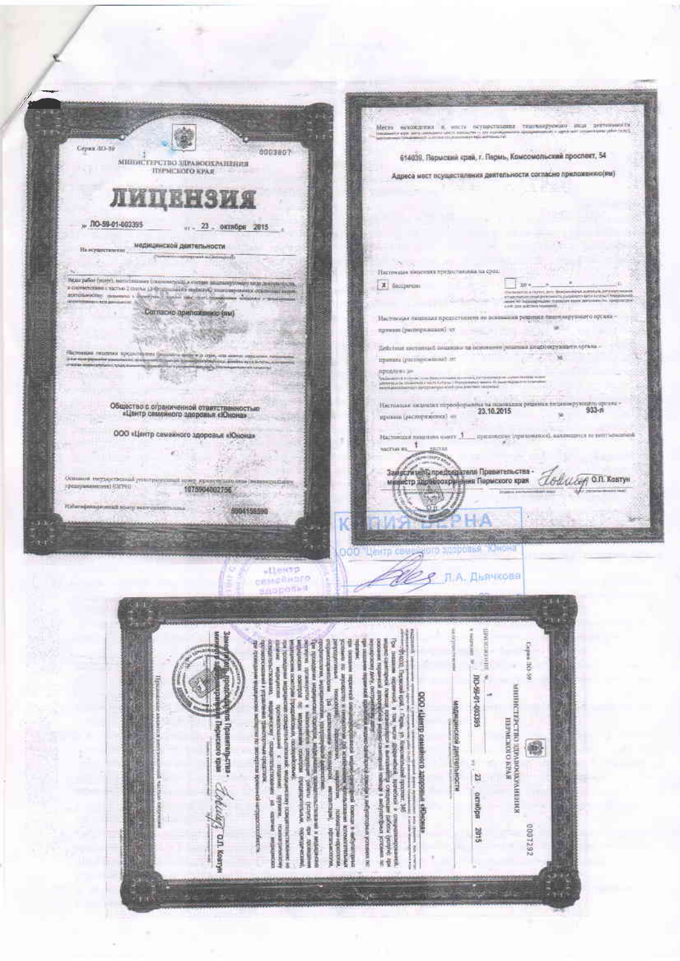